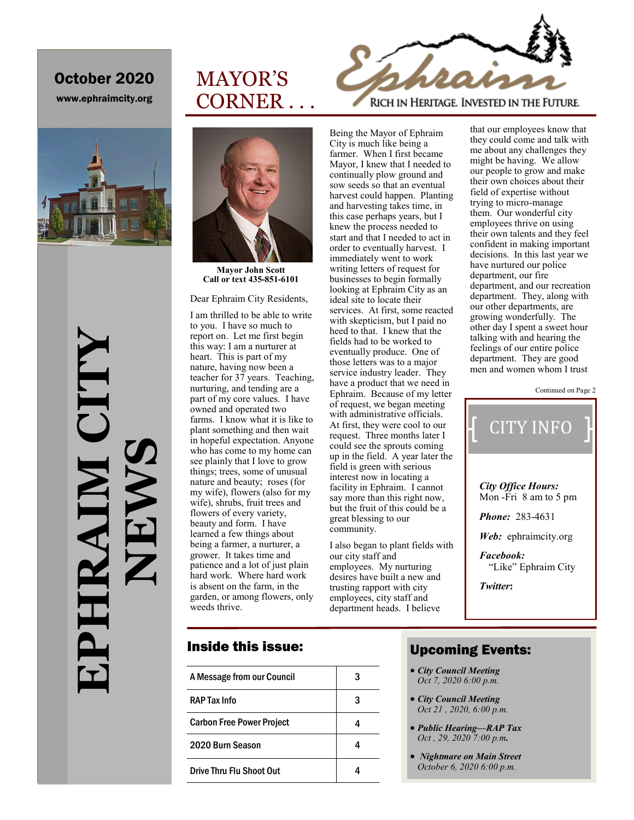## October 2020 October 2020

www.ephraimcity.org



**EPHRAIM CITY**  EPAIM CI **NEWS** HRAI



MAYOR'S

CORNER . . .

**Mayor John Scott Call or text 435-851-6101**

Dear Ephraim City Residents,

I am thrilled to be able to write to you. I have so much to report on. Let me first begin this way: I am a nurturer at heart. This is part of my nature, having now been a teacher for 37 years. Teaching, nurturing, and tending are a part of my core values. I have owned and operated two farms. I know what it is like to plant something and then wait in hopeful expectation. Anyone who has come to my home can see plainly that I love to grow things; trees, some of unusual nature and beauty; roses (for my wife), flowers (also for my wife), shrubs, fruit trees and flowers of every variety, beauty and form. I have learned a few things about being a farmer, a nurturer, a grower. It takes time and patience and a lot of just plain hard work. Where hard work is absent on the farm, in the garden, or among flowers, only weeds thrive.

RICH IN HERITAGE. INVESTED IN THE FUTURE.

City is much like being a farmer. When I first became Mayor, I knew that I needed to continually plow ground and sow seeds so that an eventual harvest could happen. Planting and harvesting takes time, in this case perhaps years, but I knew the process needed to start and that I needed to act in order to eventually harvest. I immediately went to work writing letters of request for businesses to begin formally looking at Ephraim City as an ideal site to locate their services. At first, some reacted with skepticism, but I paid no heed to that. I knew that the fields had to be worked to eventually produce. One of

those letters was to a major service industry leader. They have a product that we need in Ephraim. Because of my letter of request, we began meeting with administrative officials. At first, they were cool to our request. Three months later I could see the sprouts coming up in the field. A year later the field is green with serious interest now in locating a facility in Ephraim. I cannot say more than this right now, but the fruit of this could be a great blessing to our community.

Being the Mayor of Ephraim

I also began to plant fields with our city staff and employees. My nurturing desires have built a new and trusting rapport with city employees, city staff and department heads. I believe

that our employees know that they could come and talk with me about any challenges they might be having. We allow our people to grow and make their own choices about their field of expertise without trying to micro-manage them. Our wonderful city employees thrive on using their own talents and they feel confident in making important decisions. In this last year we have nurtured our police department, our fire department, and our recreation department. They, along with our other departments, are growing wonderfully. The other day I spent a sweet hour talking with and hearing the feelings of our entire police department. They are good men and women whom I trust

Continued on Page 2



### Inside this issue:

| A Message from our Council       | 3 |
|----------------------------------|---|
| RAP Tax Info                     | 3 |
| <b>Carbon Free Power Project</b> |   |
| 2020 Burn Season                 |   |
| Drive Thru Flu Shoot Out         |   |

### Upcoming Events:

- Upcoming City Events: *City Council Meeting Oct 7, 2020 6:00 p.m.*
- *City Council Meeting Oct 21 , 2020, 6:00 p.m.*
- *Public Hearing—RAP Tax Oct , 29, 2020 7:00 p.m.*
- *Nightmare on Main Street October 6, 2020 6:00 p.m.*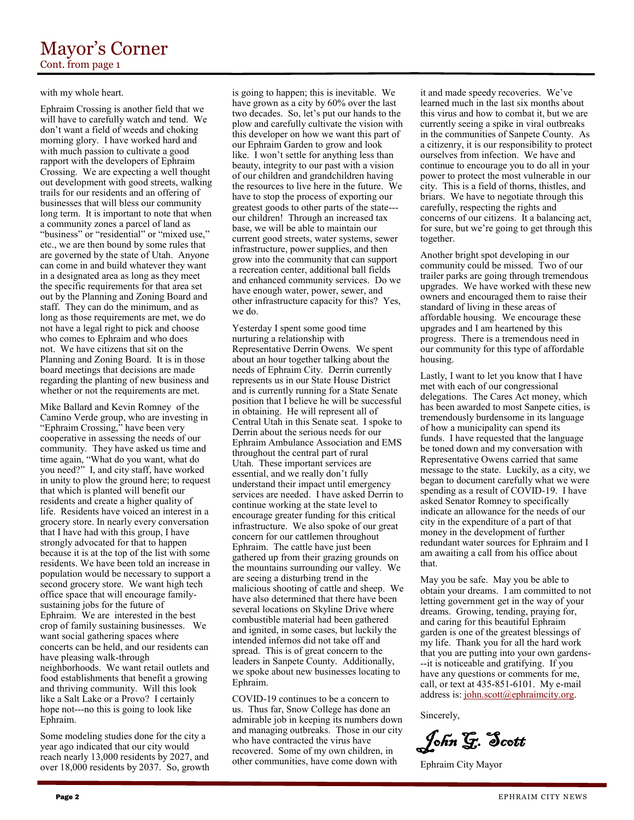#### with my whole heart.

Ephraim Crossing is another field that we will have to carefully watch and tend. We don't want a field of weeds and choking morning glory. I have worked hard and with much passion to cultivate a good rapport with the developers of Ephraim Crossing. We are expecting a well thought out development with good streets, walking trails for our residents and an offering of businesses that will bless our community long term. It is important to note that when a community zones a parcel of land as "business" or "residential" or "mixed use," etc., we are then bound by some rules that are governed by the state of Utah. Anyone can come in and build whatever they want in a designated area as long as they meet the specific requirements for that area set out by the Planning and Zoning Board and staff. They can do the minimum, and as long as those requirements are met, we do not have a legal right to pick and choose who comes to Ephraim and who does not. We have citizens that sit on the Planning and Zoning Board. It is in those board meetings that decisions are made regarding the planting of new business and whether or not the requirements are met.

Mike Ballard and Kevin Romney of the Camino Verde group, who are investing in "Ephraim Crossing," have been very cooperative in assessing the needs of our community. They have asked us time and time again, "What do you want, what do you need?" I, and city staff, have worked in unity to plow the ground here; to request that which is planted will benefit our residents and create a higher quality of life. Residents have voiced an interest in a grocery store. In nearly every conversation that I have had with this group, I have strongly advocated for that to happen because it is at the top of the list with some residents. We have been told an increase in population would be necessary to support a second grocery store. We want high tech office space that will encourage familysustaining jobs for the future of Ephraim. We are interested in the best crop of family sustaining businesses. We want social gathering spaces where concerts can be held, and our residents can have pleasing walk-through neighborhoods. We want retail outlets and food establishments that benefit a growing and thriving community. Will this look like a Salt Lake or a Provo? I certainly hope not---no this is going to look like Ephraim.

Some modeling studies done for the city a year ago indicated that our city would reach nearly 13,000 residents by 2027, and over 18,000 residents by 2037. So, growth

is going to happen; this is inevitable. We have grown as a city by 60% over the last two decades. So, let's put our hands to the plow and carefully cultivate the vision with this developer on how we want this part of our Ephraim Garden to grow and look like. I won't settle for anything less than beauty, integrity to our past with a vision of our children and grandchildren having the resources to live here in the future. We have to stop the process of exporting our greatest goods to other parts of the state-- our children! Through an increased tax base, we will be able to maintain our current good streets, water systems, sewer infrastructure, power supplies, and then grow into the community that can support a recreation center, additional ball fields and enhanced community services. Do we have enough water, power, sewer, and other infrastructure capacity for this? Yes, we do.

Yesterday I spent some good time nurturing a relationship with Representative Derrin Owens. We spent about an hour together talking about the needs of Ephraim City. Derrin currently represents us in our State House District and is currently running for a State Senate position that I believe he will be successful in obtaining. He will represent all of Central Utah in this Senate seat. I spoke to Derrin about the serious needs for our Ephraim Ambulance Association and EMS throughout the central part of rural Utah. These important services are essential, and we really don't fully understand their impact until emergency services are needed. I have asked Derrin to continue working at the state level to encourage greater funding for this critical infrastructure. We also spoke of our great concern for our cattlemen throughout Ephraim. The cattle have just been gathered up from their grazing grounds on the mountains surrounding our valley. We are seeing a disturbing trend in the malicious shooting of cattle and sheep. We have also determined that there have been several locations on Skyline Drive where combustible material had been gathered and ignited, in some cases, but luckily the intended infernos did not take off and spread. This is of great concern to the leaders in Sanpete County. Additionally, we spoke about new businesses locating to Ephraim.

COVID-19 continues to be a concern to us. Thus far, Snow College has done an admirable job in keeping its numbers down and managing outbreaks. Those in our city who have contracted the virus have recovered. Some of my own children, in other communities, have come down with

it and made speedy recoveries. We've learned much in the last six months about this virus and how to combat it, but we are currently seeing a spike in viral outbreaks in the communities of Sanpete County. As a citizenry, it is our responsibility to protect ourselves from infection. We have and continue to encourage you to do all in your power to protect the most vulnerable in our city. This is a field of thorns, thistles, and briars. We have to negotiate through this carefully, respecting the rights and concerns of our citizens. It a balancing act, for sure, but we're going to get through this together.

Another bright spot developing in our community could be missed. Two of our trailer parks are going through tremendous upgrades. We have worked with these new owners and encouraged them to raise their standard of living in these areas of affordable housing. We encourage these upgrades and I am heartened by this progress. There is a tremendous need in our community for this type of affordable housing.

Lastly, I want to let you know that I have met with each of our congressional delegations. The Cares Act money, which has been awarded to most Sanpete cities, is tremendously burdensome in its language of how a municipality can spend its funds. I have requested that the language be toned down and my conversation with Representative Owens carried that same message to the state. Luckily, as a city, we began to document carefully what we were spending as a result of COVID-19. I have asked Senator Romney to specifically indicate an allowance for the needs of our city in the expenditure of a part of that money in the development of further redundant water sources for Ephraim and I am awaiting a call from his office about that.

May you be safe. May you be able to obtain your dreams. I am committed to not letting government get in the way of your dreams. Growing, tending, praying for, and caring for this beautiful Ephraim garden is one of the greatest blessings of my life. Thank you for all the hard work that you are putting into your own gardens- --it is noticeable and gratifying. If you have any questions or comments for me, call, or text at 435-851-6101. My e-mail address is: [john.scott@ephraimcity.org.](mailto:john.scott@ephraimcity.org)

Sincerely,

John G. Scott

Ephraim City Mayor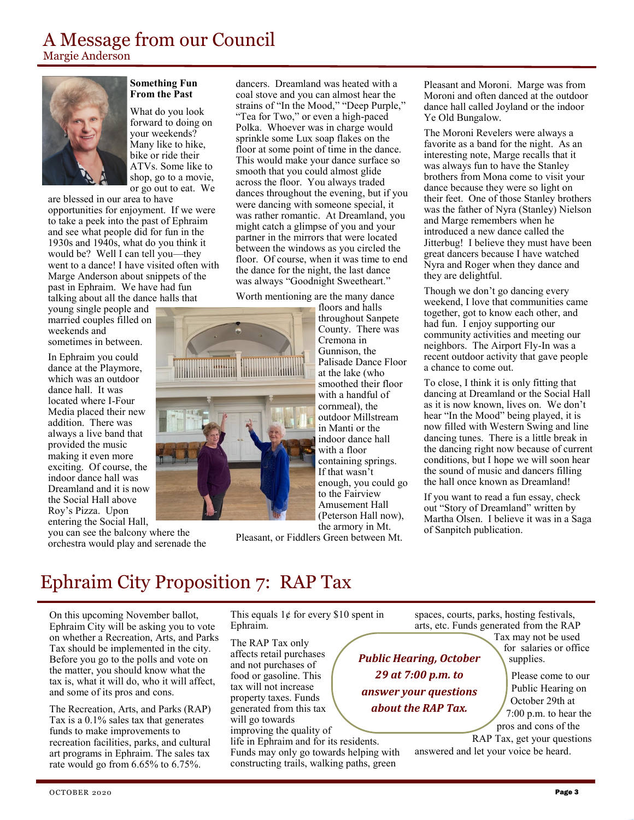Margie Anderson



#### **Something Fun From the Past**

What do you look forward to doing on your weekends? Many like to hike, bike or ride their ATVs. Some like to shop, go to a movie, or go out to eat. We

are blessed in our area to have opportunities for enjoyment. If we were to take a peek into the past of Ephraim and see what people did for fun in the 1930s and 1940s, what do you think it would be? Well I can tell you—they went to a dance! I have visited often with Marge Anderson about snippets of the past in Ephraim. We have had fun talking about all the dance halls that

young single people and married couples filled on weekends and

sometimes in between.

In Ephraim you could dance at the Playmore, which was an outdoor dance hall. It was located where I-Four Media placed their new addition. There was always a live band that provided the music making it even more exciting. Of course, the indoor dance hall was Dreamland and it is now the Social Hall above Roy's Pizza. Upon entering the Social Hall,

you can see the balcony where the orchestra would play and serenade the

dancers. Dreamland was heated with a coal stove and you can almost hear the strains of "In the Mood," "Deep Purple," "Tea for Two," or even a high-paced Polka. Whoever was in charge would sprinkle some Lux soap flakes on the floor at some point of time in the dance. This would make your dance surface so smooth that you could almost glide across the floor. You always traded dances throughout the evening, but if you were dancing with someone special, it was rather romantic. At Dreamland, you might catch a glimpse of you and your partner in the mirrors that were located between the windows as you circled the floor. Of course, when it was time to end the dance for the night, the last dance was always "Goodnight Sweetheart."

Worth mentioning are the many dance



floors and halls throughout Sanpete County. There was Cremona in Gunnison, the Palisade Dance Floor at the lake (who smoothed their floor with a handful of cornmeal), the outdoor Millstream in Manti or the indoor dance hall with a floor containing springs. If that wasn't enough, you could go to the Fairview Amusement Hall (Peterson Hall now), the armory in Mt.

Pleasant, or Fiddlers Green between Mt.

Pleasant and Moroni. Marge was from Moroni and often danced at the outdoor dance hall called Joyland or the indoor Ye Old Bungalow.

The Moroni Revelers were always a favorite as a band for the night. As an interesting note, Marge recalls that it was always fun to have the Stanley brothers from Mona come to visit your dance because they were so light on their feet. One of those Stanley brothers was the father of Nyra (Stanley) Nielson and Marge remembers when he introduced a new dance called the Jitterbug! I believe they must have been great dancers because I have watched Nyra and Roger when they dance and they are delightful.

Though we don't go dancing every weekend, I love that communities came together, got to know each other, and had fun. I enjoy supporting our community activities and meeting our neighbors. The Airport Fly-In was a recent outdoor activity that gave people a chance to come out.

To close, I think it is only fitting that dancing at Dreamland or the Social Hall as it is now known, lives on. We don't hear "In the Mood" being played, it is now filled with Western Swing and line dancing tunes. There is a little break in the dancing right now because of current conditions, but I hope we will soon hear the sound of music and dancers filling the hall once known as Dreamland!

If you want to read a fun essay, check out "Story of Dreamland" written by Martha Olsen. I believe it was in a Saga of Sanpitch publication.

# Ephraim City Proposition 7: RAP Tax

On this upcoming November ballot, Ephraim City will be asking you to vote on whether a Recreation, Arts, and Parks Tax should be implemented in the city. Before you go to the polls and vote on the matter, you should know what the tax is, what it will do, who it will affect, and some of its pros and cons.

The Recreation, Arts, and Parks (RAP) Tax is a 0.1% sales tax that generates funds to make improvements to recreation facilities, parks, and cultural art programs in Ephraim. The sales tax rate would go from 6.65% to 6.75%.

This equals  $1¢$  for every \$10 spent in Ephraim.

The RAP Tax only affects retail purchases and not purchases of food or gasoline. This tax will not increase property taxes. Funds generated from this tax will go towards improving the quality of life in Ephraim and for its residents.

Funds may only go towards helping with constructing trails, walking paths, green

spaces, courts, parks, hosting festivals, arts, etc. Funds generated from the RAP

*Public Hearing, October 29 at 7:00 p.m. to answer your questions about the RAP Tax.*

Tax may not be used for salaries or office supplies.

Please come to our Public Hearing on October 29th at 7:00 p.m. to hear the pros and cons of the

RAP Tax, get your questions answered and let your voice be heard.